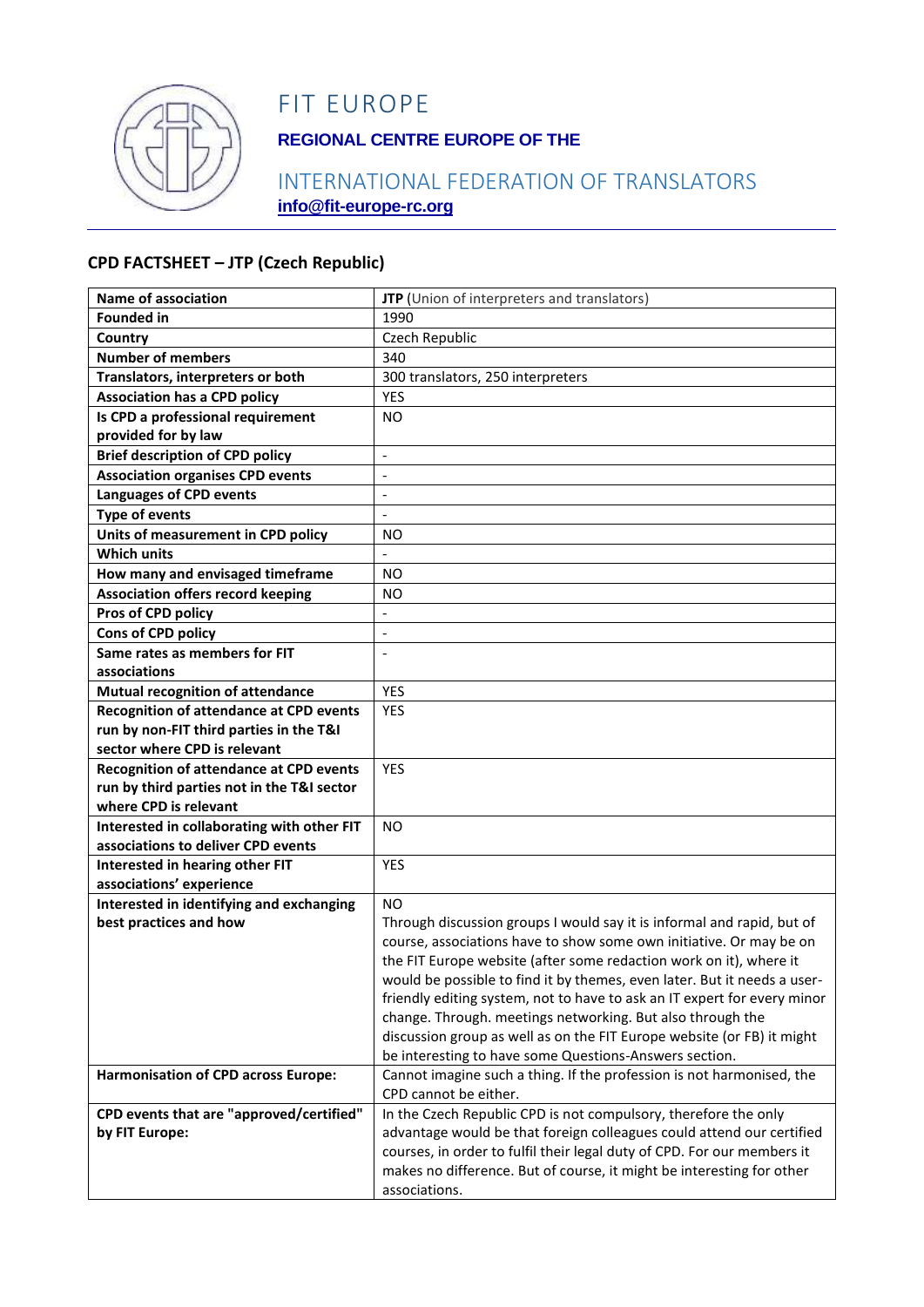

# FIT EUROPE

## **REGIONAL CENTRE EUROPE OF THE**

### INTERNATIONAL FEDERATION OF TRANSLATORS **info@fit-europe-rc.org**

#### **CPD FACTSHEET – JTP (Czech Republic)**

| <b>Name of association</b>                     | JTP (Union of interpreters and translators)                              |
|------------------------------------------------|--------------------------------------------------------------------------|
| <b>Founded in</b>                              | 1990                                                                     |
| Country                                        | Czech Republic                                                           |
| <b>Number of members</b>                       | 340                                                                      |
| Translators, interpreters or both              | 300 translators, 250 interpreters                                        |
| <b>Association has a CPD policy</b>            | <b>YES</b>                                                               |
| Is CPD a professional requirement              | N <sub>O</sub>                                                           |
| provided for by law                            |                                                                          |
| <b>Brief description of CPD policy</b>         | $\Box$                                                                   |
| <b>Association organises CPD events</b>        | $\blacksquare$                                                           |
| <b>Languages of CPD events</b>                 | $\overline{\phantom{a}}$                                                 |
| <b>Type of events</b>                          | $\overline{\phantom{a}}$                                                 |
| Units of measurement in CPD policy             | NO                                                                       |
| <b>Which units</b>                             | $\overline{a}$                                                           |
| How many and envisaged timeframe               | <b>NO</b>                                                                |
| <b>Association offers record keeping</b>       | NO                                                                       |
| Pros of CPD policy                             | $\overline{\phantom{0}}$                                                 |
| Cons of CPD policy                             | $\overline{\phantom{a}}$                                                 |
| Same rates as members for FIT                  |                                                                          |
| associations                                   |                                                                          |
| <b>Mutual recognition of attendance</b>        | <b>YES</b>                                                               |
| <b>Recognition of attendance at CPD events</b> | YES                                                                      |
| run by non-FIT third parties in the T&I        |                                                                          |
| sector where CPD is relevant                   |                                                                          |
| Recognition of attendance at CPD events        | <b>YES</b>                                                               |
| run by third parties not in the T&I sector     |                                                                          |
| where CPD is relevant                          |                                                                          |
| Interested in collaborating with other FIT     | <b>NO</b>                                                                |
| associations to deliver CPD events             |                                                                          |
| Interested in hearing other FIT                | <b>YES</b>                                                               |
| associations' experience                       |                                                                          |
| Interested in identifying and exchanging       | <b>NO</b>                                                                |
| best practices and how                         | Through discussion groups I would say it is informal and rapid, but of   |
|                                                | course, associations have to show some own initiative. Or may be on      |
|                                                | the FIT Europe website (after some redaction work on it), where it       |
|                                                | would be possible to find it by themes, even later. But it needs a user- |
|                                                | friendly editing system, not to have to ask an IT expert for every minor |
|                                                | change. Through. meetings networking. But also through the               |
|                                                | discussion group as well as on the FIT Europe website (or FB) it might   |
|                                                | be interesting to have some Questions-Answers section.                   |
| <b>Harmonisation of CPD across Europe:</b>     | Cannot imagine such a thing. If the profession is not harmonised, the    |
|                                                | CPD cannot be either.                                                    |
| CPD events that are "approved/certified"       | In the Czech Republic CPD is not compulsory, therefore the only          |
| by FIT Europe:                                 | advantage would be that foreign colleagues could attend our certified    |
|                                                | courses, in order to fulfil their legal duty of CPD. For our members it  |
|                                                | makes no difference. But of course, it might be interesting for other    |
|                                                | associations.                                                            |